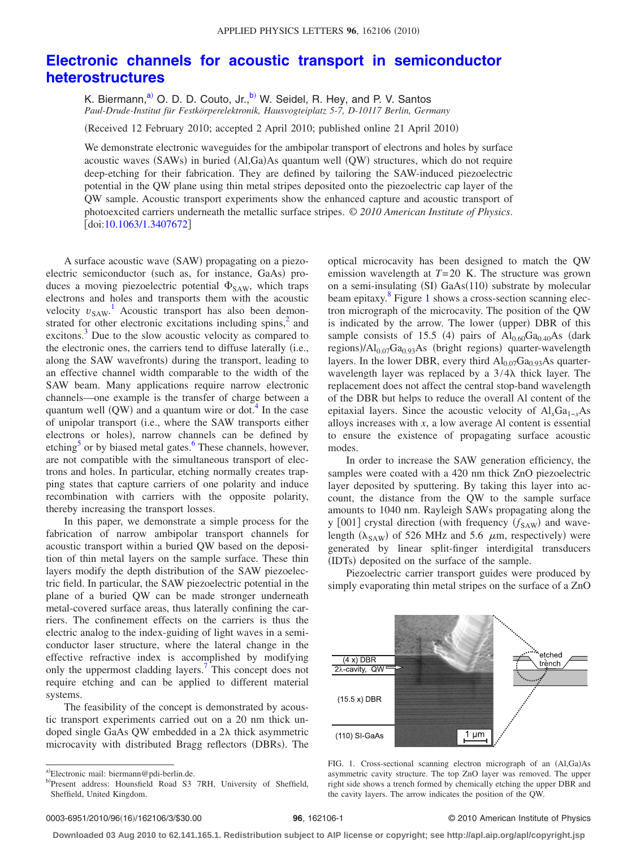## **[Electronic channels for acoustic transport in semiconductor](http://dx.doi.org/10.1063/1.3407672) [heterostructures](http://dx.doi.org/10.1063/1.3407672)**

K. Biermann,<sup>a)</sup> O. D. D. Couto, Jr.,<sup>b</sup>) W. Seidel, R. Hey, and P. V. Santos *Paul-Drude-Institut für Festkörperelektronik, Hausvogteiplatz 5-7, D-10117 Berlin, Germany*

Received 12 February 2010; accepted 2 April 2010; published online 21 April 2010-

We demonstrate electronic waveguides for the ambipolar transport of electrons and holes by surface acoustic waves (SAWs) in buried (Al,Ga)As quantum well (QW) structures, which do not require deep-etching for their fabrication. They are defined by tailoring the SAW-induced piezoelectric potential in the QW plane using thin metal stripes deposited onto the piezoelectric cap layer of the QW sample. Acoustic transport experiments show the enhanced capture and acoustic transport of photoexcited carriers underneath the metallic surface stripes. © *2010 American Institute of Physics*.  $\left[$ doi[:10.1063/1.3407672](http://dx.doi.org/10.1063/1.3407672) $\right]$ 

A surface acoustic wave (SAW) propagating on a piezoelectric semiconductor (such as, for instance, GaAs) produces a moving piezoelectric potential  $\Phi_{SAW}$ , which traps electrons and holes and transports them with the acoustic velocity  $v_{SAW}$ <sup>[1](#page-2-0)</sup> Acoustic transport has also been demonstrated for other electronic excitations including spins,<sup>2</sup> and excitons.<sup>3</sup> Due to the slow acoustic velocity as compared to the electronic ones, the carriers tend to diffuse laterally (i.e., along the SAW wavefronts) during the transport, leading to an effective channel width comparable to the width of the SAW beam. Many applications require narrow electronic channels—one example is the transfer of charge between a quantum well  $(QW)$  and a quantum wire or dot.<sup>4</sup> In the case of unipolar transport i.e., where the SAW transports either electrons or holes), narrow channels can be defined by etching<sup>5</sup> or by biased metal gates.<sup>6</sup> These channels, however, are not compatible with the simultaneous transport of electrons and holes. In particular, etching normally creates trapping states that capture carriers of one polarity and induce recombination with carriers with the opposite polarity, thereby increasing the transport losses.

In this paper, we demonstrate a simple process for the fabrication of narrow ambipolar transport channels for acoustic transport within a buried QW based on the deposition of thin metal layers on the sample surface. These thin layers modify the depth distribution of the SAW piezoelectric field. In particular, the SAW piezoelectric potential in the plane of a buried QW can be made stronger underneath metal-covered surface areas, thus laterally confining the carriers. The confinement effects on the carriers is thus the electric analog to the index-guiding of light waves in a semiconductor laser structure, where the lateral change in the effective refractive index is accomplished by modifying only the uppermost cladding layers.<sup>7</sup> This concept does not require etching and can be applied to different material systems.

<span id="page-0-0"></span>The feasibility of the concept is demonstrated by acoustic transport experiments carried out on a 20 nm thick undoped single GaAs QW embedded in a 2 $\lambda$  thick asymmetric microcavity with distributed Bragg reflectors (DBRs). The

optical microcavity has been designed to match the QW emission wavelength at *T*= 20 K. The structure was grown on a semi-insulating (SI) GaAs(110) substrate by molecular beam epitaxy. $8$  Figure [1](#page-0-2) shows a cross-section scanning electron micrograph of the microcavity. The position of the QW is indicated by the arrow. The lower (upper) DBR of this sample consists of 15.5 (4) pairs of  $Al_{0.60}Ga_{0.40}As$  (dark regions)/Al<sub>0.07</sub>Ga<sub>0.93</sub>As (bright regions) quarter-wavelength layers. In the lower DBR, every third  $Al_{0.07}Ga_{0.93}As$  quarterwavelength layer was replaced by a  $3/4\lambda$  thick layer. The replacement does not affect the central stop-band wavelength of the DBR but helps to reduce the overall Al content of the epitaxial layers. Since the acoustic velocity of Al<sub>x</sub>Ga<sub>1−*x*</sub>As alloys increases with *x*, a low average Al content is essential to ensure the existence of propagating surface acoustic modes.

In order to increase the SAW generation efficiency, the samples were coated with a 420 nm thick ZnO piezoelectric layer deposited by sputtering. By taking this layer into account, the distance from the QW to the sample surface amounts to 1040 nm. Rayleigh SAWs propagating along the y [001] crystal direction (with frequency ( $f_{SAW}$ ) and wavelength ( $\lambda_{SAW}$ ) of 526 MHz and 5.6  $\mu$ m, respectively) were generated by linear split-finger interdigital transducers (IDTs) deposited on the surface of the sample.

<span id="page-0-2"></span>Piezoelectric carrier transport guides were produced by simply evaporating thin metal stripes on the surface of a ZnO



FIG. 1. Cross-sectional scanning electron micrograph of an (Al,Ga)As asymmetric cavity structure. The top ZnO layer was removed. The upper right side shows a trench formed by chemically etching the upper DBR and the cavity layers. The arrow indicates the position of the QW.

## **96**, 162106-1 © 2010 American Institute of Physics

**Downloaded 03 Aug 2010 to 62.141.165.1. Redistribution subject to AIP license or copyright; see http://apl.aip.org/apl/copyright.jsp**

<span id="page-0-1"></span>a)Electronic mail: biermann@pdi-berlin.de.

b)Present address: Hounsfield Road S3 7RH, University of Sheffield, Sheffield, United Kingdom.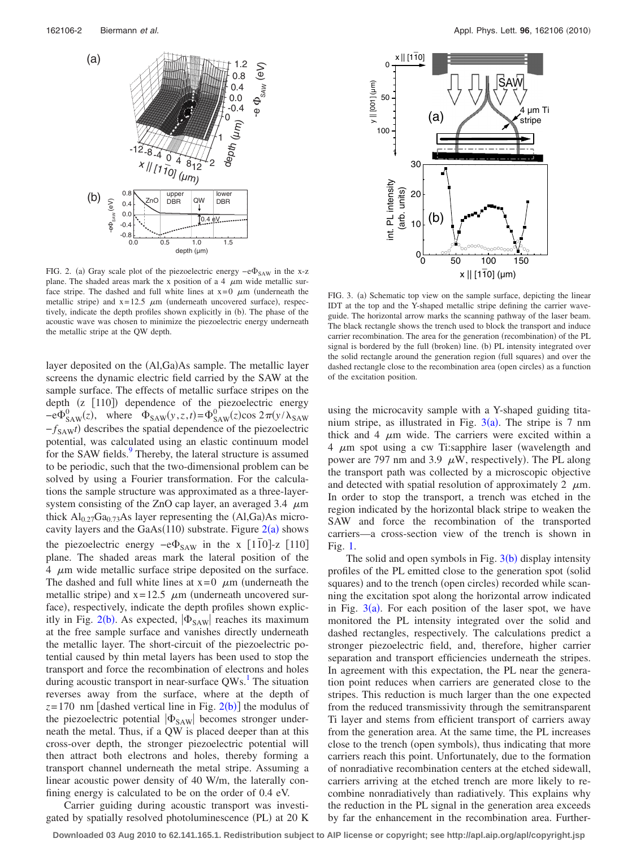<span id="page-1-0"></span>

FIG. 2. (a) Gray scale plot of the piezoelectric energy  $-e\Phi_{SAW}$  in the x-z plane. The shaded areas mark the x position of a 4  $\mu$ m wide metallic surface stripe. The dashed and full white lines at  $x=0$   $\mu$ m (underneath the metallic stripe) and  $x=12.5 \mu m$  (underneath uncovered surface), respectively, indicate the depth profiles shown explicitly in (b). The phase of the acoustic wave was chosen to minimize the piezoelectric energy underneath the metallic stripe at the QW depth.

layer deposited on the (Al,Ga)As sample. The metallic layer screens the dynamic electric field carried by the SAW at the sample surface. The effects of metallic surface stripes on the depth (z [110]) dependence of the piezoelectric energy  $-e\Phi_{SAW}^{0}(z)$ , where  $\Phi_{SAW}^{0}(y,z,t) = \Phi_{SAW}^{0}(z) \cos 2\pi (y/\lambda_{SAW}^{0})$  $-f_{SAW}$ *t*) describes the spatial dependence of the piezoelectric potential, was calculated using an elastic continuum model for the SAW fields.<sup>9</sup> Thereby, the lateral structure is assumed to be periodic, such that the two-dimensional problem can be solved by using a Fourier transformation. For the calculations the sample structure was approximated as a three-layersystem consisting of the ZnO cap layer, an averaged 3.4  $\mu$ m thick  $Al_{0.27}Ga_{0.73}As$  layer representing the  $(Al,Ga)As$  microcavity layers and the  $GaAs(110)$  substrate. Figure  $2(a)$  $2(a)$  shows the piezoelectric energy  $-e\Phi_{SAW}$  in the x [110]-z [110] plane. The shaded areas mark the lateral position of the  $4 \mu m$  wide metallic surface stripe deposited on the surface. The dashed and full white lines at  $x=0$   $\mu$ m (underneath the metallic stripe) and  $x = 12.5$   $\mu$ m (underneath uncovered surface), respectively, indicate the depth profiles shown explic-itly in Fig. [2](#page-1-0)(b). As expected,  $|\Phi_{SAW}|$  reaches its maximum at the free sample surface and vanishes directly underneath the metallic layer. The short-circuit of the piezoelectric potential caused by thin metal layers has been used to stop the transport and force the recombination of electrons and holes during acoustic transport in near-surface  $QWs$ .<sup>1</sup> The situation reverses away from the surface, where at the depth of  $z = 170$  nm [dashed vertical line in Fig.  $2(b)$  $2(b)$ ] the modulus of the piezoelectric potential  $|\Phi_{SAW}|$  becomes stronger underneath the metal. Thus, if a QW is placed deeper than at this cross-over depth, the stronger piezoelectric potential will then attract both electrons and holes, thereby forming a transport channel underneath the metal stripe. Assuming a linear acoustic power density of 40 W/m, the laterally confining energy is calculated to be on the order of 0.4 eV.

Carrier guiding during acoustic transport was investigated by spatially resolved photoluminescence (PL) at 20 K

<span id="page-1-1"></span>

FIG. 3. (a) Schematic top view on the sample surface, depicting the linear IDT at the top and the Y-shaped metallic stripe defining the carrier waveguide. The horizontal arrow marks the scanning pathway of the laser beam. The black rectangle shows the trench used to block the transport and induce carrier recombination. The area for the generation (recombination) of the PL signal is bordered by the full (broken) line. (b) PL intensity integrated over the solid rectangle around the generation region (full squares) and over the dashed rectangle close to the recombination area (open circles) as a function of the excitation position.

using the microcavity sample with a Y-shaped guiding titanium stripe, as illustrated in Fig.  $3(a)$  $3(a)$ . The stripe is 7 nm thick and 4  $\mu$ m wide. The carriers were excited within a 4  $\mu$ m spot using a cw Ti:sapphire laser (wavelength and power are 797 nm and 3.9  $\mu$ W, respectively). The PL along the transport path was collected by a microscopic objective and detected with spatial resolution of approximately 2  $\mu$ m. In order to stop the transport, a trench was etched in the region indicated by the horizontal black stripe to weaken the SAW and force the recombination of the transported carriers—a cross-section view of the trench is shown in Fig. [1.](#page-0-2)

The solid and open symbols in Fig.  $3(b)$  $3(b)$  display intensity profiles of the PL emitted close to the generation spot (solid squares) and to the trench (open circles) recorded while scanning the excitation spot along the horizontal arrow indicated in Fig.  $3(a)$  $3(a)$ . For each position of the laser spot, we have monitored the PL intensity integrated over the solid and dashed rectangles, respectively. The calculations predict a stronger piezoelectric field, and, therefore, higher carrier separation and transport efficiencies underneath the stripes. In agreement with this expectation, the PL near the generation point reduces when carriers are generated close to the stripes. This reduction is much larger than the one expected from the reduced transmissivity through the semitransparent Ti layer and stems from efficient transport of carriers away from the generation area. At the same time, the PL increases close to the trench (open symbols), thus indicating that more carriers reach this point. Unfortunately, due to the formation of nonradiative recombination centers at the etched sidewall, carriers arriving at the etched trench are more likely to recombine nonradiatively than radiatively. This explains why the reduction in the PL signal in the generation area exceeds by far the enhancement in the recombination area. Further-

**Downloaded 03 Aug 2010 to 62.141.165.1. Redistribution subject to AIP license or copyright; see http://apl.aip.org/apl/copyright.jsp**